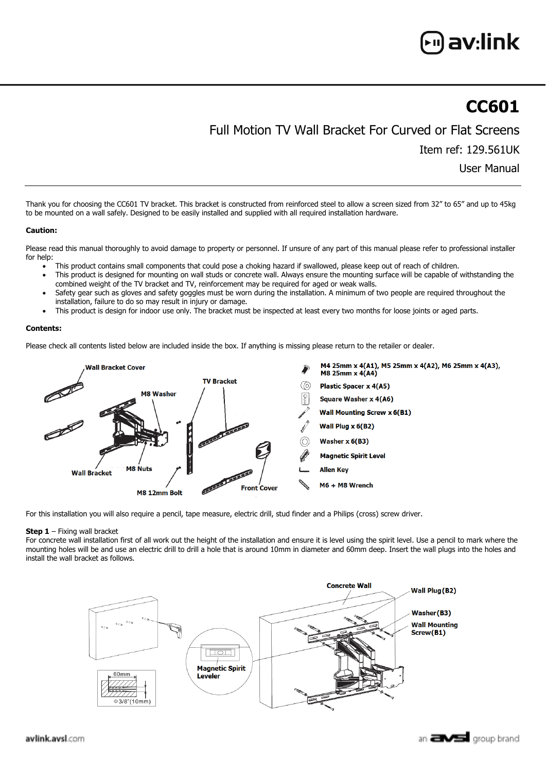# av:link

## **CC601**

### Full Motion TV Wall Bracket For Curved or Flat Screens

Item ref: 129.561UK

User Manual

Thank you for choosing the CC601 TV bracket. This bracket is constructed from reinforced steel to allow a screen sized from 32" to 65" and up to 45kg to be mounted on a wall safely. Designed to be easily installed and supplied with all required installation hardware.

#### **Caution:**

Please read this manual thoroughly to avoid damage to property or personnel. If unsure of any part of this manual please refer to professional installer for help:

- This product contains small components that could pose a choking hazard if swallowed, please keep out of reach of children.
- This product is designed for mounting on wall studs or concrete wall. Always ensure the mounting surface will be capable of withstanding the combined weight of the TV bracket and TV, reinforcement may be required for aged or weak walls.
- Safety gear such as gloves and safety goggles must be worn during the installation. A minimum of two people are required throughout the installation, failure to do so may result in injury or damage.
- This product is design for indoor use only. The bracket must be inspected at least every two months for loose joints or aged parts.

#### **Contents:**

Please check all contents listed below are included inside the box. If anything is missing please return to the retailer or dealer.



For this installation you will also require a pencil, tape measure, electric drill, stud finder and a Philips (cross) screw driver.

#### **Step 1** – Fixing wall bracket

For concrete wall installation first of all work out the height of the installation and ensure it is level using the spirit level. Use a pencil to mark where the mounting holes will be and use an electric drill to drill a hole that is around 10mm in diameter and 60mm deep. Insert the wall plugs into the holes and install the wall bracket as follows.

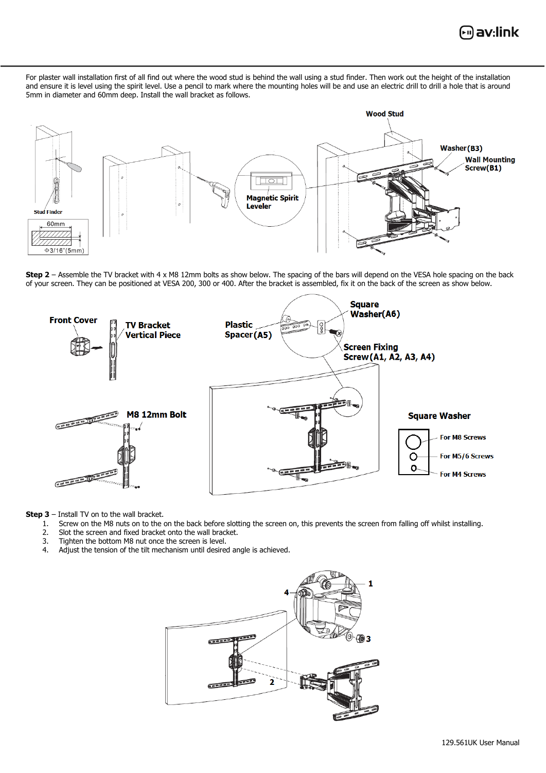

For plaster wall installation first of all find out where the wood stud is behind the wall using a stud finder. Then work out the height of the installation and ensure it is level using the spirit level. Use a pencil to mark where the mounting holes will be and use an electric drill to drill a hole that is around 5mm in diameter and 60mm deep. Install the wall bracket as follows.



**Step 2** – Assemble the TV bracket with 4 x M8 12mm bolts as show below. The spacing of the bars will depend on the VESA hole spacing on the back of your screen. They can be positioned at VESA 200, 300 or 400. After the bracket is assembled, fix it on the back of the screen as show below.



**Step 3** – Install TV on to the wall bracket.

- 1. Screw on the M8 nuts on to the on the back before slotting the screen on, this prevents the screen from falling off whilst installing.<br>2. Slot the screen and fixed bracket onto the wall bracket.
- 2. Slot the screen and fixed bracket onto the wall bracket.<br>3. Tighten the bottom M8 nut once the screen is level.
- 3. Tighten the bottom M8 nut once the screen is level.<br>4. Adjust the tension of the tilt mechanism until desired
- Adjust the tension of the tilt mechanism until desired angle is achieved.